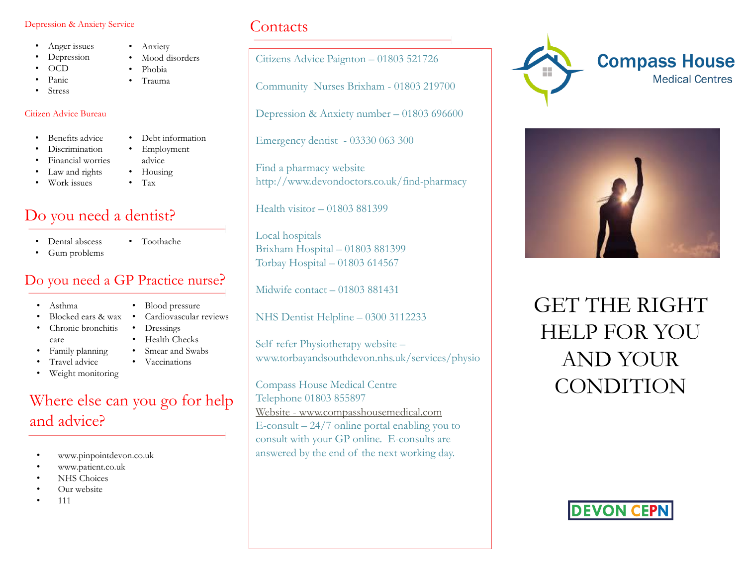#### Depression & Anxiety Service

- Anger issues
- Depression
- OCD
- Panic
- **Stress**

#### Citizen Advice Bureau

- Benefits advice
- Discrimination
- Financial worries
- Law and rights
- Work issues
- Debt information • Employment advice

• Anxiety

Mood disorders • Phobia • Trauma

• Housing • Tax

# Do you need a dentist?

- Dental abscess
	-
- Gum problems
- Toothache

### Do you need a GP Practice nurse?

- Asthma
- Blocked ears & wax
- Chronic bronchitis care
- Family planning
- Travel advice
- Weight monitoring

# Where else can you go for help and advice?

- www.pinpointdevon.co.uk
- www.patient.co.uk
- NHS Choices
- Our website
- 111

## **Contacts**

Citizens Advice Paignton – 01803 521726

Community Nurses Brixham - 01803 219700

Depression & Anxiety number – 01803 696600

Emergency dentist - 03330 063 300

Find a pharmacy website http://www.devondoctors.co.uk/find-pharmacy

Health visitor – 01803 881399

Local hospitals Brixham Hospital – 01803 881399 Torbay Hospital – 01803 614567

Midwife contact – 01803 881431

NHS Dentist Helpline – 0300 3112233

Self refer Physiotherapy website – www.torbayandsouthdevon.nhs.uk/services/physio

Compass House Medical Centre Telephone 01803 855897 [Website -](http://www.compasshousemedical.com/) [www.compasshousemedical.com](http://www.compasshousemedical.com/) E-consult  $-24/7$  online portal enabling you to consult with your GP online. E-consults are answered by the end of the next working day.





GET THE RIGHT HELP FOR YOU AND YOUR **CONDITION** 



- 
- Health Checks
- 
- 
- Blood pressure Cardiovascular reviews
- Dressings
- Smear and Swabs
- Vaccinations
-